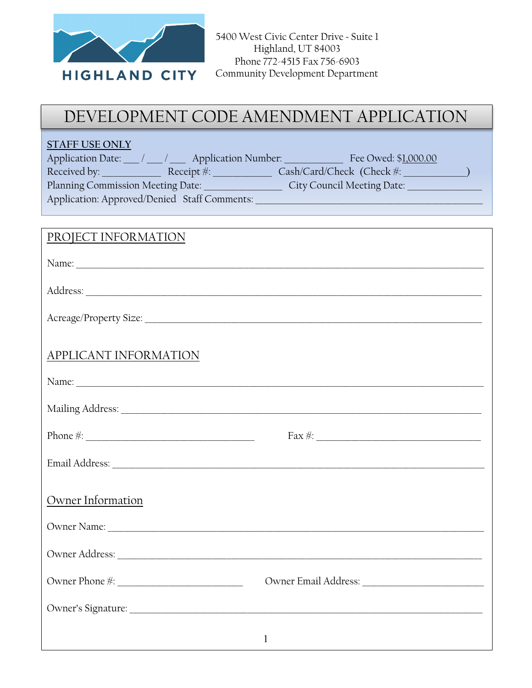

## DEVELOPMENT CODE AMENDMENT APPLICATION

| <b>STAFF USE ONLY</b><br>Application Date: ___ / ___ / ___ Application Number: _______________ Fee Owed: \$1,000.00                                                                                                            | Planning Commission Meeting Date: ________________________City Council Meeting Date: _______________ |
|--------------------------------------------------------------------------------------------------------------------------------------------------------------------------------------------------------------------------------|------------------------------------------------------------------------------------------------------|
|                                                                                                                                                                                                                                |                                                                                                      |
| PROJECT INFORMATION                                                                                                                                                                                                            |                                                                                                      |
|                                                                                                                                                                                                                                |                                                                                                      |
|                                                                                                                                                                                                                                |                                                                                                      |
|                                                                                                                                                                                                                                |                                                                                                      |
| <b>APPLICANT INFORMATION</b>                                                                                                                                                                                                   |                                                                                                      |
|                                                                                                                                                                                                                                |                                                                                                      |
|                                                                                                                                                                                                                                |                                                                                                      |
|                                                                                                                                                                                                                                | $Fax \#:$                                                                                            |
| Email Address: Note and Address and Address and Address and Address and Address and Address and Address and Address and Address and Address and Address and Address and Address and Address and Address and Address and Addres |                                                                                                      |
| Owner Information                                                                                                                                                                                                              |                                                                                                      |
|                                                                                                                                                                                                                                |                                                                                                      |
|                                                                                                                                                                                                                                |                                                                                                      |
|                                                                                                                                                                                                                                |                                                                                                      |
|                                                                                                                                                                                                                                |                                                                                                      |
|                                                                                                                                                                                                                                | $\mathbf{1}$                                                                                         |